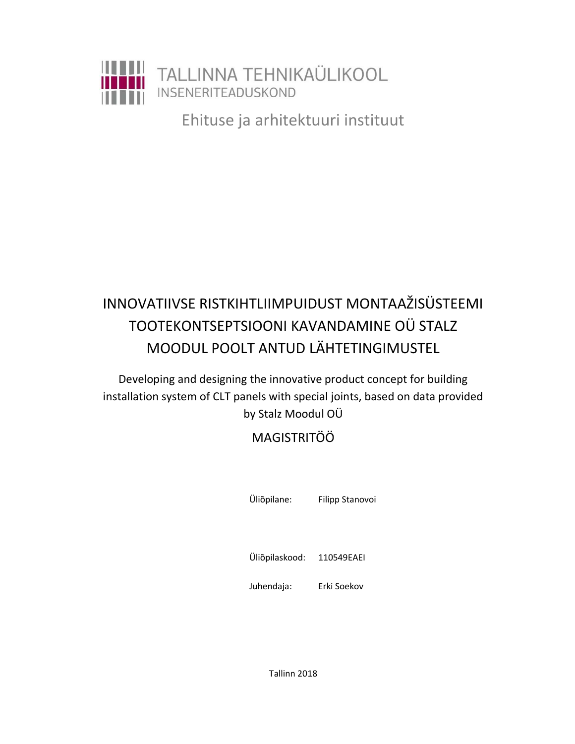

Ehituse ja arhitektuuri instituut

## INNOVATIIVSE RISTKIHTLIIMPUIDUST MONTAAŽISÜSTEEMI TOOTEKONTSEPTSIOONI KAVANDAMINE OÜ STALZ MOODUL POOLT ANTUD LÄHTETINGIMUSTEL

Developing and designing the innovative product concept for building installation system of CLT panels with special joints, based on data provided by Stalz Moodul OÜ

## MAGISTRITÖÖ

Üliõpilane: Filipp Stanovoi

Üliõpilaskood: 110549EAEI

Juhendaja: Erki Soekov

Tallinn 2018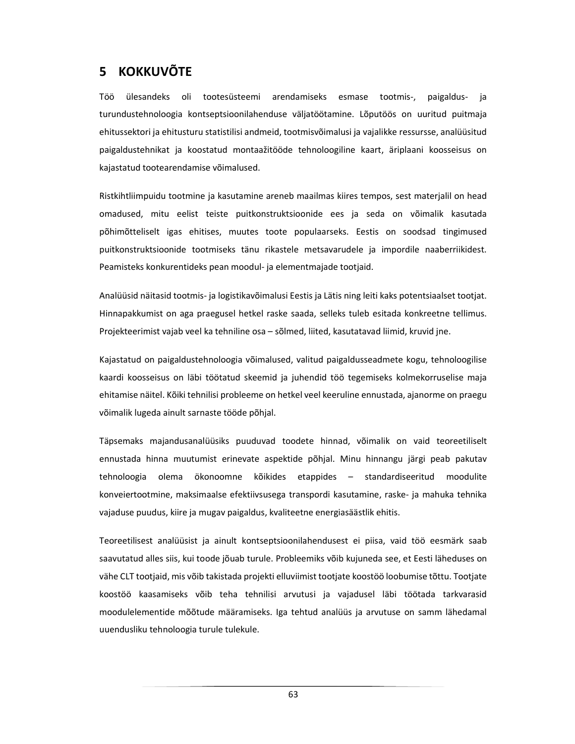## 5 KOKKUVÕTE

Töö ülesandeks oli tootesüsteemi arendamiseks esmase tootmis-, paigaldus- ja turundustehnoloogia kontseptsioonilahenduse väljatöötamine. Lõputöös on uuritud puitmaja ehitussektori ja ehitusturu statistilisi andmeid, tootmisvõimalusi ja vajalikke ressursse, analüüsitud paigaldustehnikat ja koostatud montaažitööde tehnoloogiline kaart, äriplaani koosseisus on kajastatud tootearendamise võimalused.

Ristkihtliimpuidu tootmine ja kasutamine areneb maailmas kiires tempos, sest materjalil on head omadused, mitu eelist teiste puitkonstruktsioonide ees ja seda on võimalik kasutada põhimõtteliselt igas ehitises, muutes toote populaarseks. Eestis on soodsad tingimused puitkonstruktsioonide tootmiseks tänu rikastele metsavarudele ja impordile naaberriikidest. Peamisteks konkurentideks pean moodul- ja elementmajade tootjaid.

Analüüsid näitasid tootmis- ja logistikavõimalusi Eestis ja Lätis ning leiti kaks potentsiaalset tootjat. Hinnapakkumist on aga praegusel hetkel raske saada, selleks tuleb esitada konkreetne tellimus. Projekteerimist vajab veel ka tehniline osa – sõlmed, liited, kasutatavad liimid, kruvid jne.

Kajastatud on paigaldustehnoloogia võimalused, valitud paigaldusseadmete kogu, tehnoloogilise kaardi koosseisus on läbi töötatud skeemid ja juhendid töö tegemiseks kolmekorruselise maja ehitamise näitel. Kõiki tehnilisi probleeme on hetkel veel keeruline ennustada, ajanorme on praegu võimalik lugeda ainult sarnaste tööde põhjal.

Täpsemaks majandusanalüüsiks puuduvad toodete hinnad, võimalik on vaid teoreetiliselt ennustada hinna muutumist erinevate aspektide põhjal. Minu hinnangu järgi peab pakutav tehnoloogia olema ökonoomne kõikides etappides – standardiseeritud moodulite konveiertootmine, maksimaalse efektiivsusega transpordi kasutamine, raske- ja mahuka tehnika vajaduse puudus, kiire ja mugav paigaldus, kvaliteetne energiasäästlik ehitis.

Teoreetilisest analüüsist ja ainult kontseptsioonilahendusest ei piisa, vaid töö eesmärk saab saavutatud alles siis, kui toode jõuab turule. Probleemiks võib kujuneda see, et Eesti läheduses on vähe CLT tootjaid, mis võib takistada projekti elluviimist tootjate koostöö loobumise tõttu. Tootjate koostöö kaasamiseks võib teha tehnilisi arvutusi ja vajadusel läbi töötada tarkvarasid moodulelementide mõõtude määramiseks. Iga tehtud analüüs ja arvutuse on samm lähedamal uuendusliku tehnoloogia turule tulekule.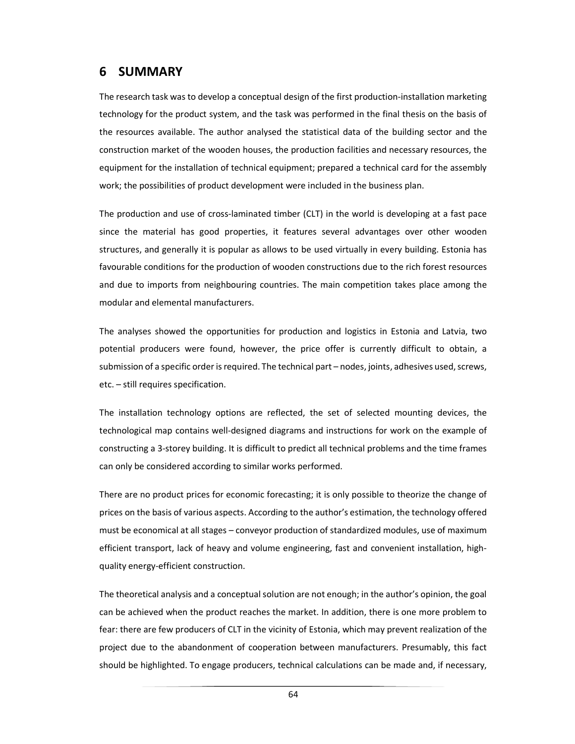## 6 SUMMARY

The research task was to develop a conceptual design of the first production-installation marketing technology for the product system, and the task was performed in the final thesis on the basis of the resources available. The author analysed the statistical data of the building sector and the construction market of the wooden houses, the production facilities and necessary resources, the equipment for the installation of technical equipment; prepared a technical card for the assembly work; the possibilities of product development were included in the business plan.

The production and use of cross-laminated timber (CLT) in the world is developing at a fast pace since the material has good properties, it features several advantages over other wooden structures, and generally it is popular as allows to be used virtually in every building. Estonia has favourable conditions for the production of wooden constructions due to the rich forest resources and due to imports from neighbouring countries. The main competition takes place among the modular and elemental manufacturers.

The analyses showed the opportunities for production and logistics in Estonia and Latvia, two potential producers were found, however, the price offer is currently difficult to obtain, a submission of a specific order is required. The technical part – nodes, joints, adhesives used, screws, etc. – still requires specification.

The installation technology options are reflected, the set of selected mounting devices, the technological map contains well-designed diagrams and instructions for work on the example of constructing a 3-storey building. It is difficult to predict all technical problems and the time frames can only be considered according to similar works performed.

There are no product prices for economic forecasting; it is only possible to theorize the change of prices on the basis of various aspects. According to the author's estimation, the technology offered must be economical at all stages – conveyor production of standardized modules, use of maximum efficient transport, lack of heavy and volume engineering, fast and convenient installation, highquality energy-efficient construction.

The theoretical analysis and a conceptual solution are not enough; in the author's opinion, the goal can be achieved when the product reaches the market. In addition, there is one more problem to fear: there are few producers of CLT in the vicinity of Estonia, which may prevent realization of the project due to the abandonment of cooperation between manufacturers. Presumably, this fact should be highlighted. To engage producers, technical calculations can be made and, if necessary,